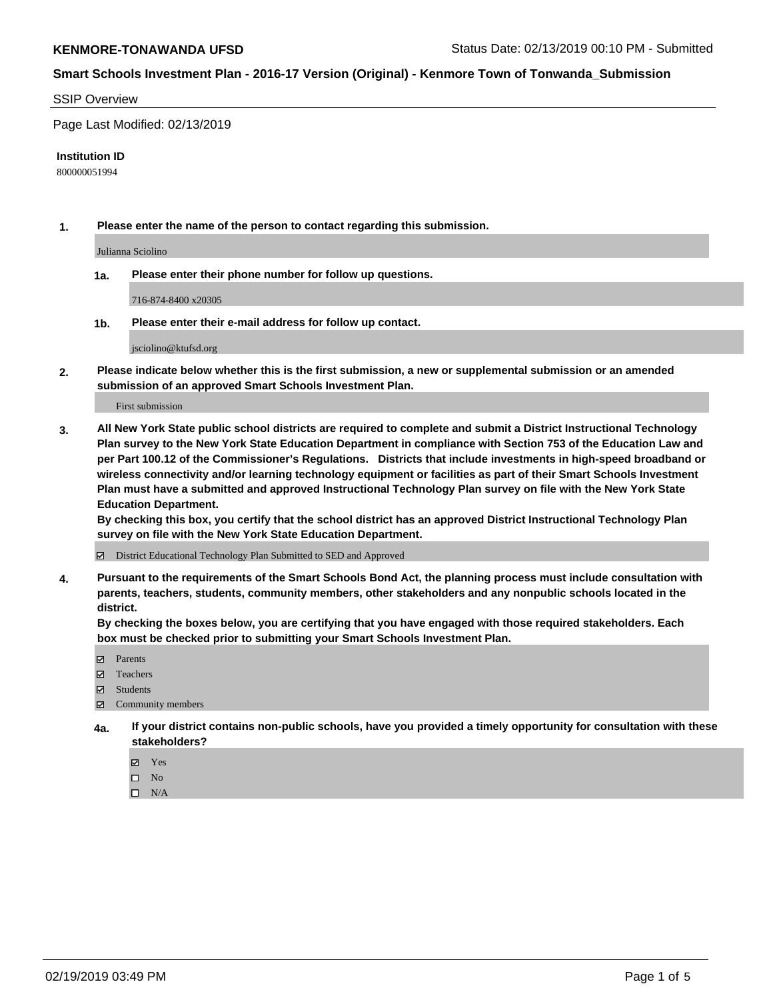#### SSIP Overview

Page Last Modified: 02/13/2019

#### **Institution ID**

800000051994

**1. Please enter the name of the person to contact regarding this submission.**

Julianna Sciolino

**1a. Please enter their phone number for follow up questions.**

716-874-8400 x20305

**1b. Please enter their e-mail address for follow up contact.**

jsciolino@ktufsd.org

**2. Please indicate below whether this is the first submission, a new or supplemental submission or an amended submission of an approved Smart Schools Investment Plan.**

First submission

**3. All New York State public school districts are required to complete and submit a District Instructional Technology Plan survey to the New York State Education Department in compliance with Section 753 of the Education Law and per Part 100.12 of the Commissioner's Regulations. Districts that include investments in high-speed broadband or wireless connectivity and/or learning technology equipment or facilities as part of their Smart Schools Investment Plan must have a submitted and approved Instructional Technology Plan survey on file with the New York State Education Department.** 

**By checking this box, you certify that the school district has an approved District Instructional Technology Plan survey on file with the New York State Education Department.**

District Educational Technology Plan Submitted to SED and Approved

**4. Pursuant to the requirements of the Smart Schools Bond Act, the planning process must include consultation with parents, teachers, students, community members, other stakeholders and any nonpublic schools located in the district.** 

**By checking the boxes below, you are certifying that you have engaged with those required stakeholders. Each box must be checked prior to submitting your Smart Schools Investment Plan.**

- **□** Parents
- Teachers
- Students
- $\boxtimes$  Community members
- **4a. If your district contains non-public schools, have you provided a timely opportunity for consultation with these stakeholders?**
	- Yes
	- $\qquad \qquad$  No
	- $\square$  N/A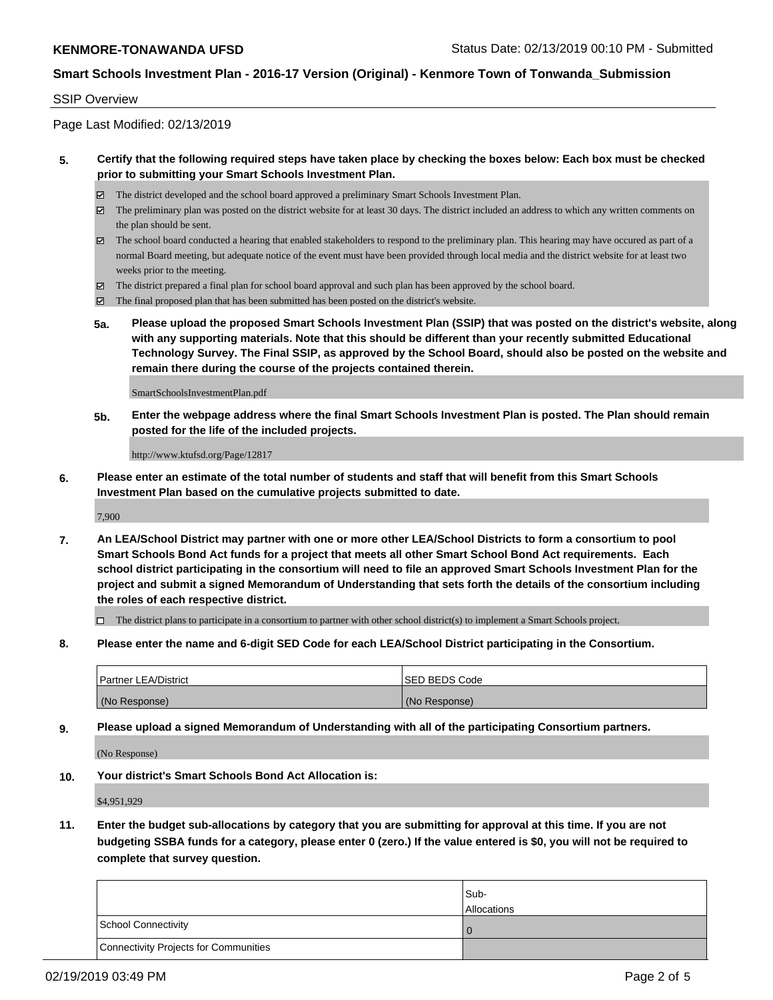#### SSIP Overview

Page Last Modified: 02/13/2019

## **5. Certify that the following required steps have taken place by checking the boxes below: Each box must be checked prior to submitting your Smart Schools Investment Plan.**

- The district developed and the school board approved a preliminary Smart Schools Investment Plan.
- $\boxtimes$  The preliminary plan was posted on the district website for at least 30 days. The district included an address to which any written comments on the plan should be sent.
- $\boxtimes$  The school board conducted a hearing that enabled stakeholders to respond to the preliminary plan. This hearing may have occured as part of a normal Board meeting, but adequate notice of the event must have been provided through local media and the district website for at least two weeks prior to the meeting.
- The district prepared a final plan for school board approval and such plan has been approved by the school board.
- $\boxtimes$  The final proposed plan that has been submitted has been posted on the district's website.
- **5a. Please upload the proposed Smart Schools Investment Plan (SSIP) that was posted on the district's website, along with any supporting materials. Note that this should be different than your recently submitted Educational Technology Survey. The Final SSIP, as approved by the School Board, should also be posted on the website and remain there during the course of the projects contained therein.**

SmartSchoolsInvestmentPlan.pdf

**5b. Enter the webpage address where the final Smart Schools Investment Plan is posted. The Plan should remain posted for the life of the included projects.**

http://www.ktufsd.org/Page/12817

**6. Please enter an estimate of the total number of students and staff that will benefit from this Smart Schools Investment Plan based on the cumulative projects submitted to date.**

7,900

**7. An LEA/School District may partner with one or more other LEA/School Districts to form a consortium to pool Smart Schools Bond Act funds for a project that meets all other Smart School Bond Act requirements. Each school district participating in the consortium will need to file an approved Smart Schools Investment Plan for the project and submit a signed Memorandum of Understanding that sets forth the details of the consortium including the roles of each respective district.**

 $\Box$  The district plans to participate in a consortium to partner with other school district(s) to implement a Smart Schools project.

**8. Please enter the name and 6-digit SED Code for each LEA/School District participating in the Consortium.**

| <b>Partner LEA/District</b> | <b>ISED BEDS Code</b> |
|-----------------------------|-----------------------|
| (No Response)               | (No Response)         |

**9. Please upload a signed Memorandum of Understanding with all of the participating Consortium partners.**

(No Response)

**10. Your district's Smart Schools Bond Act Allocation is:**

\$4,951,929

**11. Enter the budget sub-allocations by category that you are submitting for approval at this time. If you are not budgeting SSBA funds for a category, please enter 0 (zero.) If the value entered is \$0, you will not be required to complete that survey question.**

|                                              | Sub-<br><b>Allocations</b> |
|----------------------------------------------|----------------------------|
| <b>School Connectivity</b>                   |                            |
| <b>Connectivity Projects for Communities</b> |                            |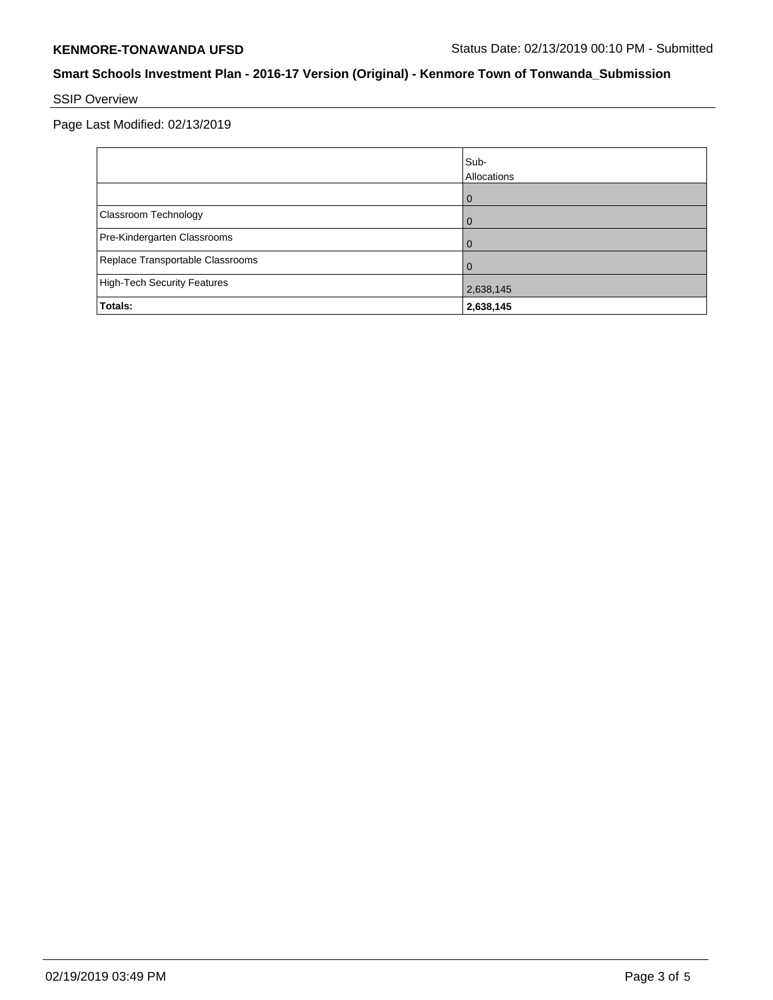# SSIP Overview

Page Last Modified: 02/13/2019

|                                    | Sub-<br>Allocations |
|------------------------------------|---------------------|
|                                    |                     |
|                                    | O                   |
| Classroom Technology               | Û                   |
| Pre-Kindergarten Classrooms        |                     |
| Replace Transportable Classrooms   |                     |
| <b>High-Tech Security Features</b> | 2,638,145           |
| Totals:                            | 2,638,145           |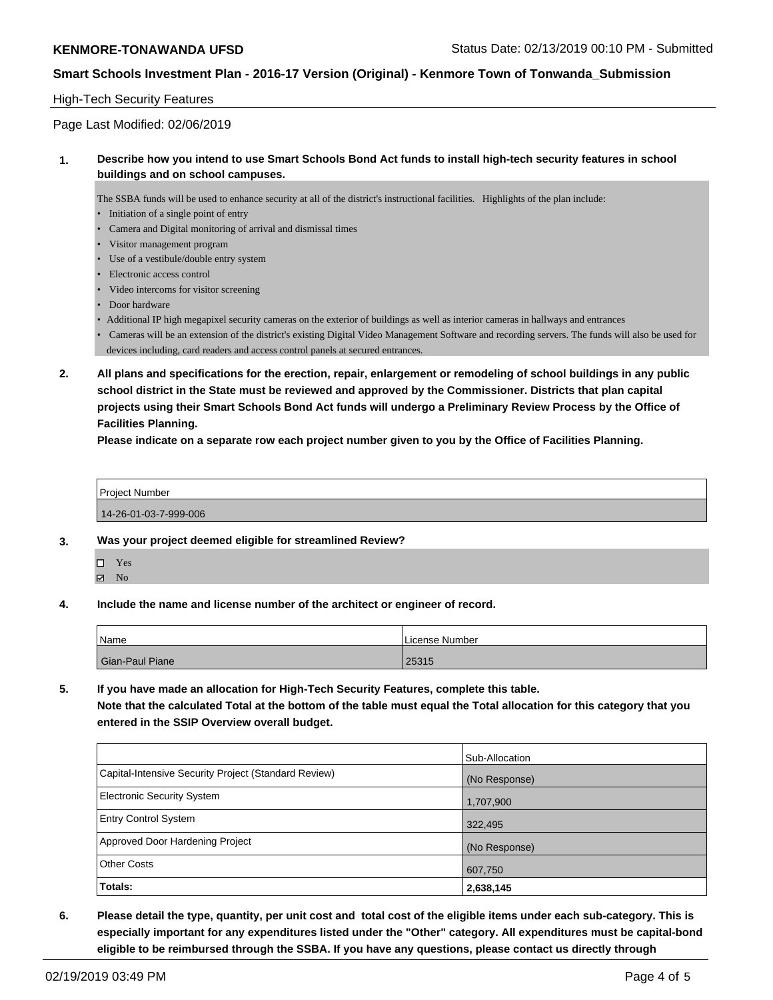## High-Tech Security Features

Page Last Modified: 02/06/2019

## **1. Describe how you intend to use Smart Schools Bond Act funds to install high-tech security features in school buildings and on school campuses.**

The SSBA funds will be used to enhance security at all of the district's instructional facilities. Highlights of the plan include:

- Initiation of a single point of entry
- Camera and Digital monitoring of arrival and dismissal times
- Visitor management program
- Use of a vestibule/double entry system
- Electronic access control
- Video intercoms for visitor screening
- Door hardware
- Additional IP high megapixel security cameras on the exterior of buildings as well as interior cameras in hallways and entrances
- Cameras will be an extension of the district's existing Digital Video Management Software and recording servers. The funds will also be used for devices including, card readers and access control panels at secured entrances.
- **2. All plans and specifications for the erection, repair, enlargement or remodeling of school buildings in any public school district in the State must be reviewed and approved by the Commissioner. Districts that plan capital projects using their Smart Schools Bond Act funds will undergo a Preliminary Review Process by the Office of Facilities Planning.**

**Please indicate on a separate row each project number given to you by the Office of Facilities Planning.**

Project Number 14-26-01-03-7-999-006

- **3. Was your project deemed eligible for streamlined Review?**
	- Yes
	- $\boxtimes$  No
- **4. Include the name and license number of the architect or engineer of record.**

| Name            | License Number |
|-----------------|----------------|
| Gian-Paul Piane | 25315          |

**5. If you have made an allocation for High-Tech Security Features, complete this table. Note that the calculated Total at the bottom of the table must equal the Total allocation for this category that you**

**entered in the SSIP Overview overall budget.**

|                                                      | Sub-Allocation |
|------------------------------------------------------|----------------|
| Capital-Intensive Security Project (Standard Review) | (No Response)  |
| <b>Electronic Security System</b>                    | 1,707,900      |
| <b>Entry Control System</b>                          | 322,495        |
| Approved Door Hardening Project                      | (No Response)  |
| <b>Other Costs</b>                                   | 607,750        |
| Totals:                                              | 2,638,145      |

**6. Please detail the type, quantity, per unit cost and total cost of the eligible items under each sub-category. This is especially important for any expenditures listed under the "Other" category. All expenditures must be capital-bond eligible to be reimbursed through the SSBA. If you have any questions, please contact us directly through**